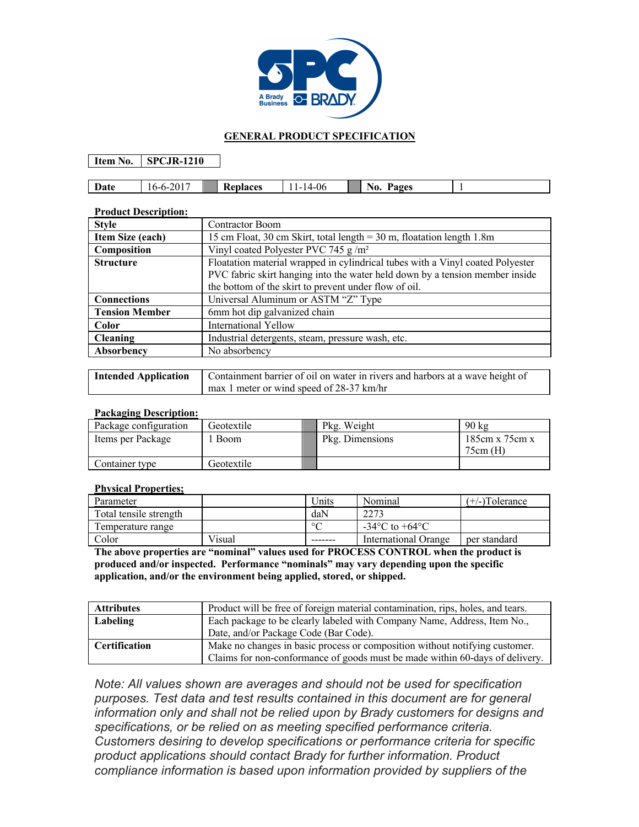

## **GENERAL PRODUCT SPECIFICATION**

**Item No. SPCJR-1210**

| Date | . .<br>,,,,,,<br>.ZU 1 | –<br><b>Re</b><br>olaces | 14-06<br>-<br>. . | <b>Pages</b><br>⊣Nυ.<br>- |  |
|------|------------------------|--------------------------|-------------------|---------------------------|--|

## **Product Description:**

| <b>Style</b>                                                                                       | <b>Contractor Boom</b>                                                       |  |  |  |
|----------------------------------------------------------------------------------------------------|------------------------------------------------------------------------------|--|--|--|
| Item Size (each)                                                                                   | 15 cm Float, 30 cm Skirt, total length $=$ 30 m, floatation length 1.8m      |  |  |  |
| Composition                                                                                        | Vinyl coated Polyester PVC 745 g/m <sup>2</sup>                              |  |  |  |
| Floatation material wrapped in cylindrical tubes with a Vinyl coated Polyester<br><b>Structure</b> |                                                                              |  |  |  |
|                                                                                                    | PVC fabric skirt hanging into the water held down by a tension member inside |  |  |  |
|                                                                                                    | the bottom of the skirt to prevent under flow of oil.                        |  |  |  |
| <b>Connections</b>                                                                                 | Universal Aluminum or ASTM "Z" Type                                          |  |  |  |
| <b>Tension Member</b>                                                                              | 6mm hot dip galvanized chain                                                 |  |  |  |
| Color                                                                                              | International Yellow                                                         |  |  |  |
| <b>Cleaning</b>                                                                                    | Industrial detergents, steam, pressure wash, etc.                            |  |  |  |
| Absorbency                                                                                         | No absorbency                                                                |  |  |  |
|                                                                                                    |                                                                              |  |  |  |

| <b>Intended Application</b>   Containment barrier of oil on water in rivers and harbors at a wave height of |
|-------------------------------------------------------------------------------------------------------------|
| max 1 meter or wind speed of 28-37 km/hr                                                                    |

## **Packaging Description:**

| Package configuration | Geotextile  | Pkg. Weight     | $90 \text{ kg}$              |
|-----------------------|-------------|-----------------|------------------------------|
| Items per Package     | <b>Boom</b> | Pkg. Dimensions | 185cm x 75cm x<br>$75cm$ (H) |
| Container type        | Geotextile  |                 |                              |

## **Physical Properties;**

| Parameter              |        | <u>Units</u> | Nominal                            | $(+/-)$ Tolerance |
|------------------------|--------|--------------|------------------------------------|-------------------|
| Total tensile strength |        | daN          | 2273                               |                   |
| Temperature range      |        | $\circ$      | $-34^{\circ}$ C to $+64^{\circ}$ C |                   |
| Color                  | Visual | -------      | International Orange               | per standard      |

**The above properties are "nominal" values used for PROCESS CONTROL when the product is produced and/or inspected. Performance "nominals" may vary depending upon the specific application, and/or the environment being applied, stored, or shipped.**

| <b>Attributes</b>    | Product will be free of foreign material contamination, rips, holes, and tears. |  |
|----------------------|---------------------------------------------------------------------------------|--|
| Labeling             | Each package to be clearly labeled with Company Name, Address, Item No.,        |  |
|                      | Date, and/or Package Code (Bar Code).                                           |  |
| <b>Certification</b> | Make no changes in basic process or composition without notifying customer.     |  |
|                      | Claims for non-conformance of goods must be made within 60-days of delivery.    |  |

*Note: All values shown are averages and should not be used for specification purposes. Test data and test results contained in this document are for general information only and shall not be relied upon by Brady customers for designs and specifications, or be relied on as meeting specified performance criteria. Customers desiring to develop specifications or performance criteria for specific product applications should contact Brady for further information. Product compliance information is based upon information provided by suppliers of the*